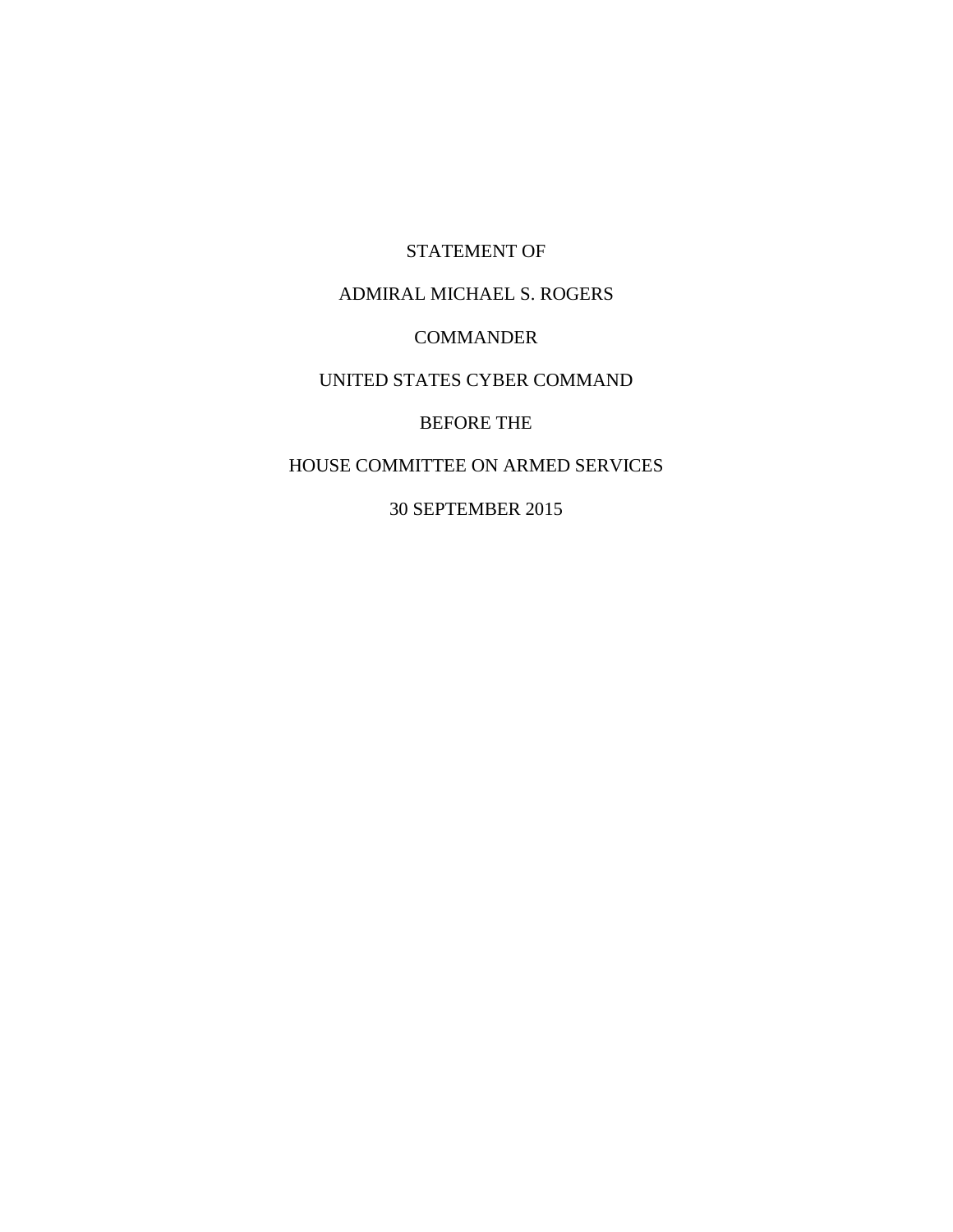STATEMENT OF ADMIRAL MICHAEL S. ROGERS COMMANDER UNITED STATES CYBER COMMAND BEFORE THE HOUSE COMMITTEE ON ARMED SERVICES

30 SEPTEMBER 2015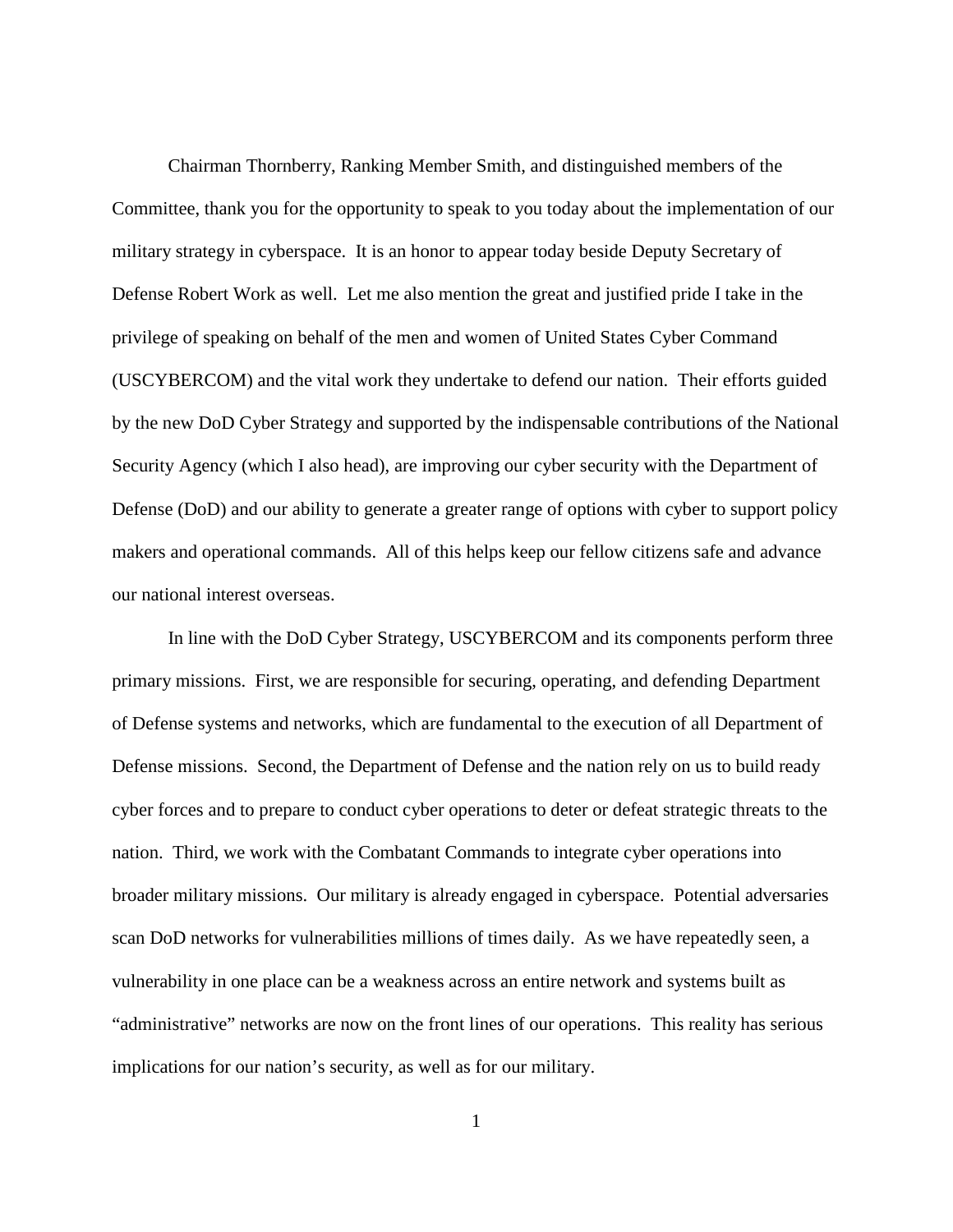Chairman Thornberry, Ranking Member Smith, and distinguished members of the Committee, thank you for the opportunity to speak to you today about the implementation of our military strategy in cyberspace. It is an honor to appear today beside Deputy Secretary of Defense Robert Work as well. Let me also mention the great and justified pride I take in the privilege of speaking on behalf of the men and women of United States Cyber Command (USCYBERCOM) and the vital work they undertake to defend our nation. Their efforts guided by the new DoD Cyber Strategy and supported by the indispensable contributions of the National Security Agency (which I also head), are improving our cyber security with the Department of Defense (DoD) and our ability to generate a greater range of options with cyber to support policy makers and operational commands. All of this helps keep our fellow citizens safe and advance our national interest overseas.

In line with the DoD Cyber Strategy, USCYBERCOM and its components perform three primary missions. First, we are responsible for securing, operating, and defending Department of Defense systems and networks, which are fundamental to the execution of all Department of Defense missions. Second, the Department of Defense and the nation rely on us to build ready cyber forces and to prepare to conduct cyber operations to deter or defeat strategic threats to the nation. Third, we work with the Combatant Commands to integrate cyber operations into broader military missions. Our military is already engaged in cyberspace. Potential adversaries scan DoD networks for vulnerabilities millions of times daily. As we have repeatedly seen, a vulnerability in one place can be a weakness across an entire network and systems built as "administrative" networks are now on the front lines of our operations. This reality has serious implications for our nation's security, as well as for our military.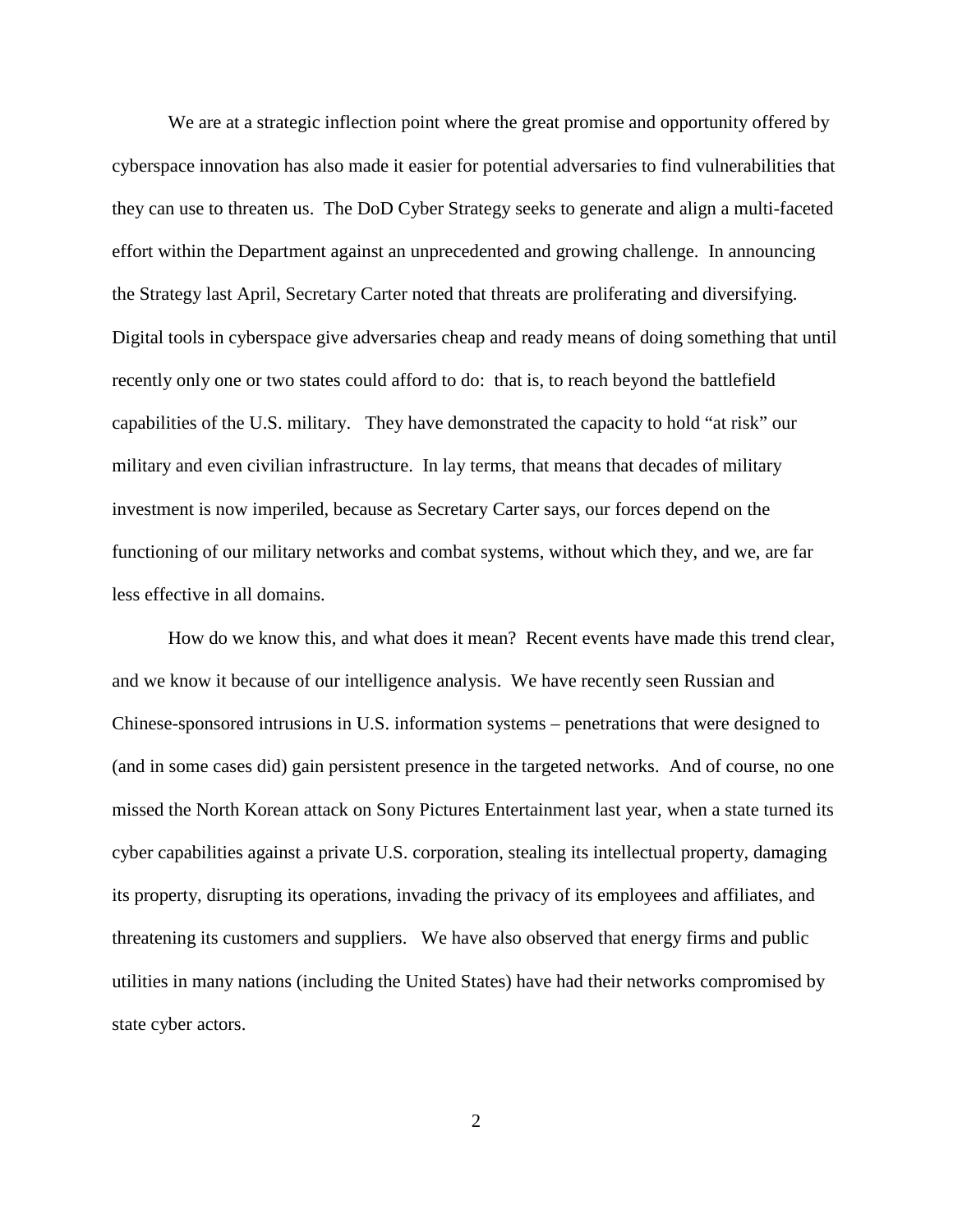We are at a strategic inflection point where the great promise and opportunity offered by cyberspace innovation has also made it easier for potential adversaries to find vulnerabilities that they can use to threaten us. The DoD Cyber Strategy seeks to generate and align a multi-faceted effort within the Department against an unprecedented and growing challenge. In announcing the Strategy last April, Secretary Carter noted that threats are proliferating and diversifying. Digital tools in cyberspace give adversaries cheap and ready means of doing something that until recently only one or two states could afford to do: that is, to reach beyond the battlefield capabilities of the U.S. military. They have demonstrated the capacity to hold "at risk" our military and even civilian infrastructure. In lay terms, that means that decades of military investment is now imperiled, because as Secretary Carter says, our forces depend on the functioning of our military networks and combat systems, without which they, and we, are far less effective in all domains.

How do we know this, and what does it mean? Recent events have made this trend clear, and we know it because of our intelligence analysis. We have recently seen Russian and Chinese-sponsored intrusions in U.S. information systems – penetrations that were designed to (and in some cases did) gain persistent presence in the targeted networks. And of course, no one missed the North Korean attack on Sony Pictures Entertainment last year, when a state turned its cyber capabilities against a private U.S. corporation, stealing its intellectual property, damaging its property, disrupting its operations, invading the privacy of its employees and affiliates, and threatening its customers and suppliers. We have also observed that energy firms and public utilities in many nations (including the United States) have had their networks compromised by state cyber actors.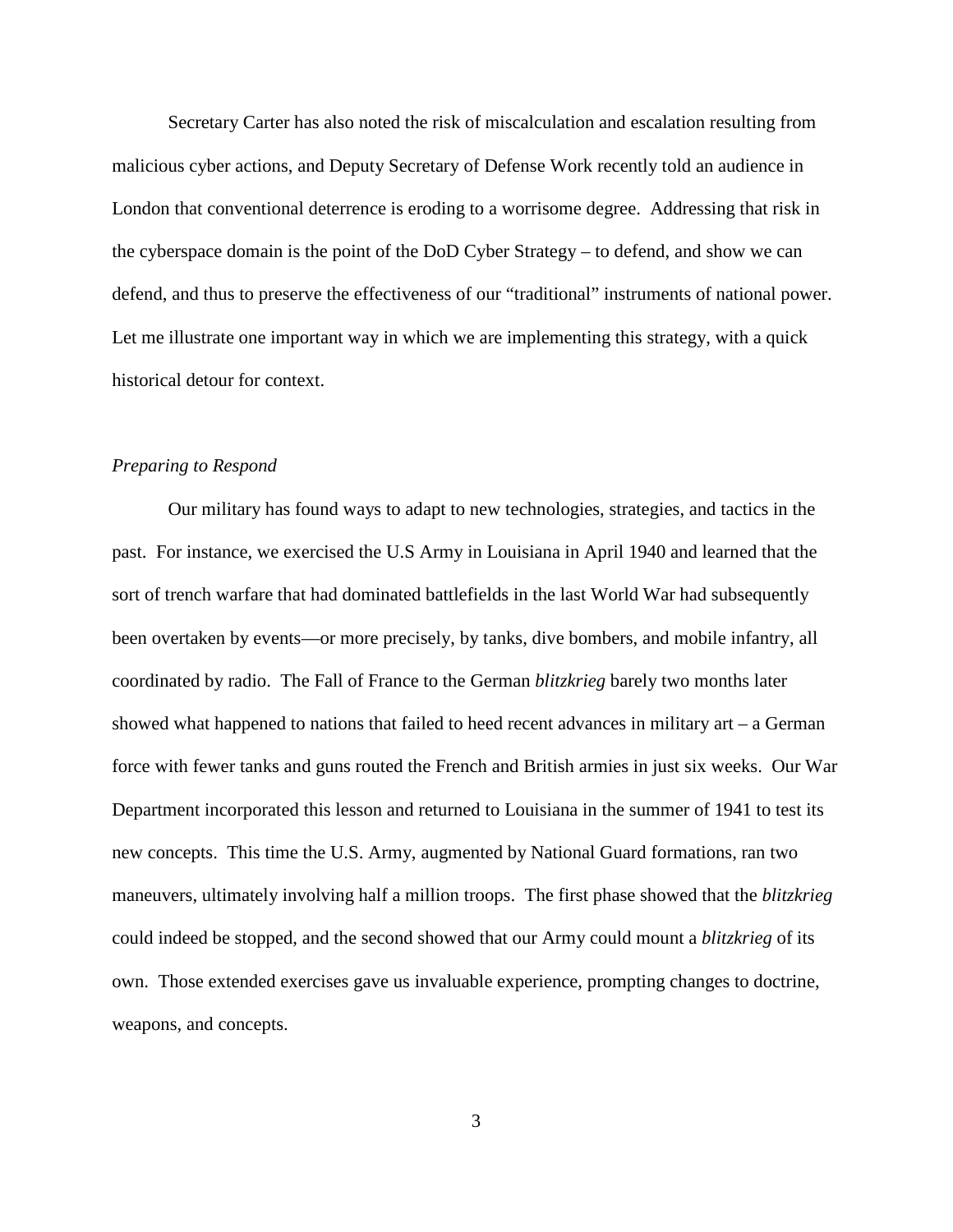Secretary Carter has also noted the risk of miscalculation and escalation resulting from malicious cyber actions, and Deputy Secretary of Defense Work recently told an audience in London that conventional deterrence is eroding to a worrisome degree. Addressing that risk in the cyberspace domain is the point of the DoD Cyber Strategy – to defend, and show we can defend, and thus to preserve the effectiveness of our "traditional" instruments of national power. Let me illustrate one important way in which we are implementing this strategy, with a quick historical detour for context.

## *Preparing to Respond*

Our military has found ways to adapt to new technologies, strategies, and tactics in the past. For instance, we exercised the U.S Army in Louisiana in April 1940 and learned that the sort of trench warfare that had dominated battlefields in the last World War had subsequently been overtaken by events—or more precisely, by tanks, dive bombers, and mobile infantry, all coordinated by radio. The Fall of France to the German *blitzkrieg* barely two months later showed what happened to nations that failed to heed recent advances in military art  $-$  a German force with fewer tanks and guns routed the French and British armies in just six weeks. Our War Department incorporated this lesson and returned to Louisiana in the summer of 1941 to test its new concepts. This time the U.S. Army, augmented by National Guard formations, ran two maneuvers, ultimately involving half a million troops. The first phase showed that the *blitzkrieg* could indeed be stopped, and the second showed that our Army could mount a *blitzkrieg* of its own. Those extended exercises gave us invaluable experience, prompting changes to doctrine, weapons, and concepts.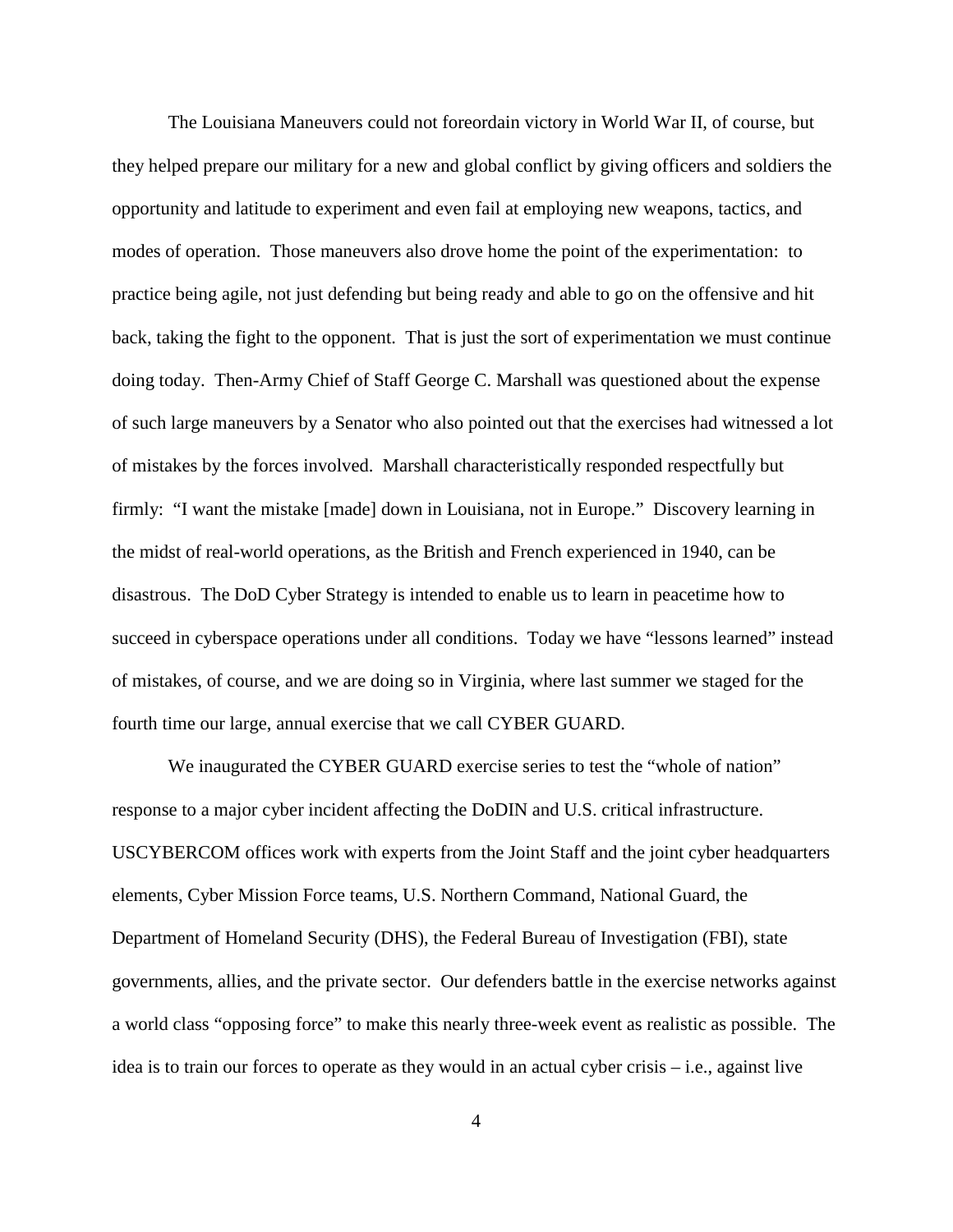The Louisiana Maneuvers could not foreordain victory in World War II, of course, but they helped prepare our military for a new and global conflict by giving officers and soldiers the opportunity and latitude to experiment and even fail at employing new weapons, tactics, and modes of operation. Those maneuvers also drove home the point of the experimentation: to practice being agile, not just defending but being ready and able to go on the offensive and hit back, taking the fight to the opponent. That is just the sort of experimentation we must continue doing today. Then-Army Chief of Staff George C. Marshall was questioned about the expense of such large maneuvers by a Senator who also pointed out that the exercises had witnessed a lot of mistakes by the forces involved. Marshall characteristically responded respectfully but firmly: "I want the mistake [made] down in Louisiana, not in Europe." Discovery learning in the midst of real-world operations, as the British and French experienced in 1940, can be disastrous. The DoD Cyber Strategy is intended to enable us to learn in peacetime how to succeed in cyberspace operations under all conditions. Today we have "lessons learned" instead of mistakes, of course, and we are doing so in Virginia, where last summer we staged for the fourth time our large, annual exercise that we call CYBER GUARD.

We inaugurated the CYBER GUARD exercise series to test the "whole of nation" response to a major cyber incident affecting the DoDIN and U.S. critical infrastructure. USCYBERCOM offices work with experts from the Joint Staff and the joint cyber headquarters elements, Cyber Mission Force teams, U.S. Northern Command, National Guard, the Department of Homeland Security (DHS), the Federal Bureau of Investigation (FBI), state governments, allies, and the private sector. Our defenders battle in the exercise networks against a world class "opposing force" to make this nearly three-week event as realistic as possible. The idea is to train our forces to operate as they would in an actual cyber crisis – i.e., against live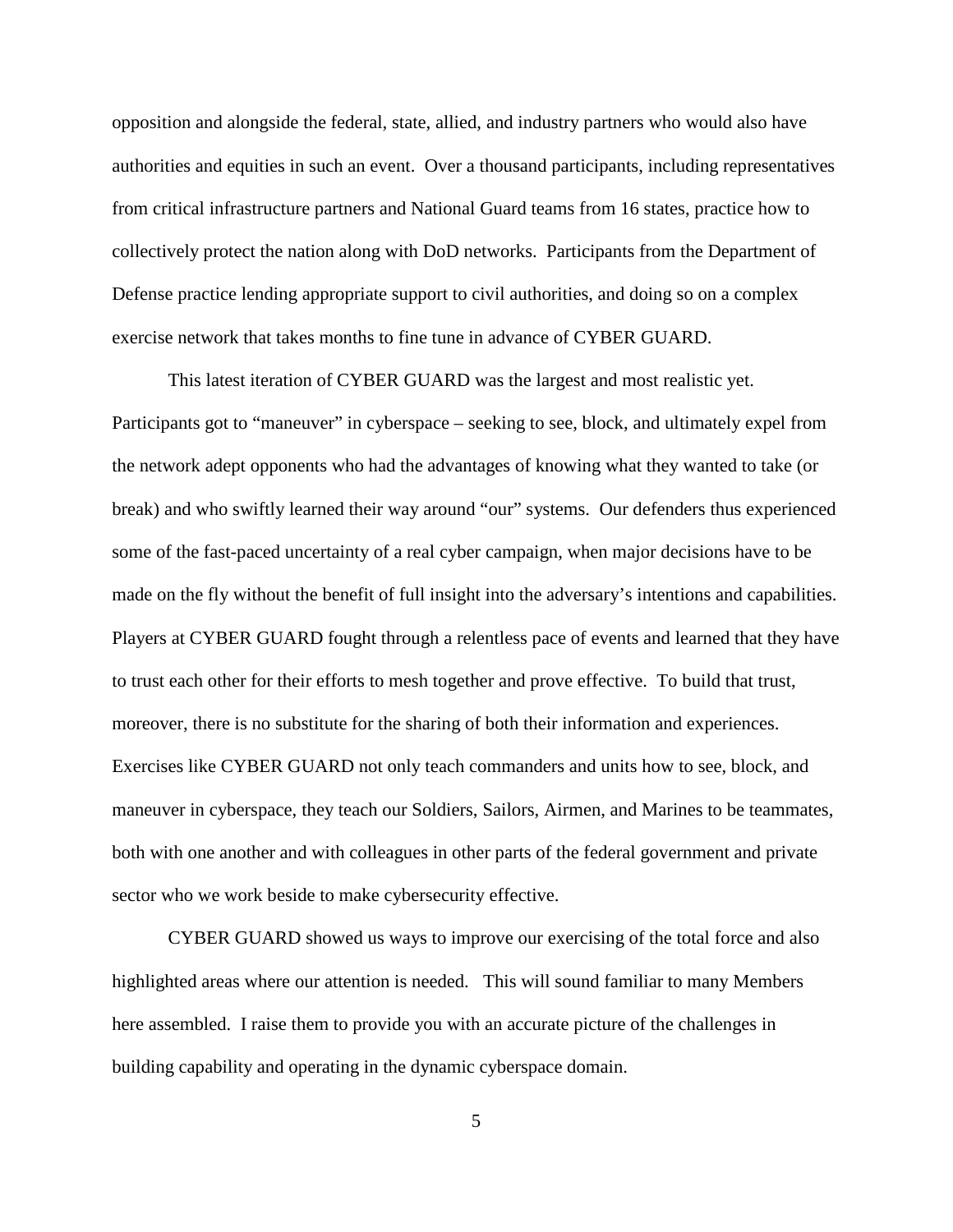opposition and alongside the federal, state, allied, and industry partners who would also have authorities and equities in such an event. Over a thousand participants, including representatives from critical infrastructure partners and National Guard teams from 16 states, practice how to collectively protect the nation along with DoD networks. Participants from the Department of Defense practice lending appropriate support to civil authorities, and doing so on a complex exercise network that takes months to fine tune in advance of CYBER GUARD.

This latest iteration of CYBER GUARD was the largest and most realistic yet. Participants got to "maneuver" in cyberspace – seeking to see, block, and ultimately expel from the network adept opponents who had the advantages of knowing what they wanted to take (or break) and who swiftly learned their way around "our" systems. Our defenders thus experienced some of the fast-paced uncertainty of a real cyber campaign, when major decisions have to be made on the fly without the benefit of full insight into the adversary's intentions and capabilities. Players at CYBER GUARD fought through a relentless pace of events and learned that they have to trust each other for their efforts to mesh together and prove effective. To build that trust, moreover, there is no substitute for the sharing of both their information and experiences. Exercises like CYBER GUARD not only teach commanders and units how to see, block, and maneuver in cyberspace, they teach our Soldiers, Sailors, Airmen, and Marines to be teammates, both with one another and with colleagues in other parts of the federal government and private sector who we work beside to make cybersecurity effective.

CYBER GUARD showed us ways to improve our exercising of the total force and also highlighted areas where our attention is needed. This will sound familiar to many Members here assembled. I raise them to provide you with an accurate picture of the challenges in building capability and operating in the dynamic cyberspace domain.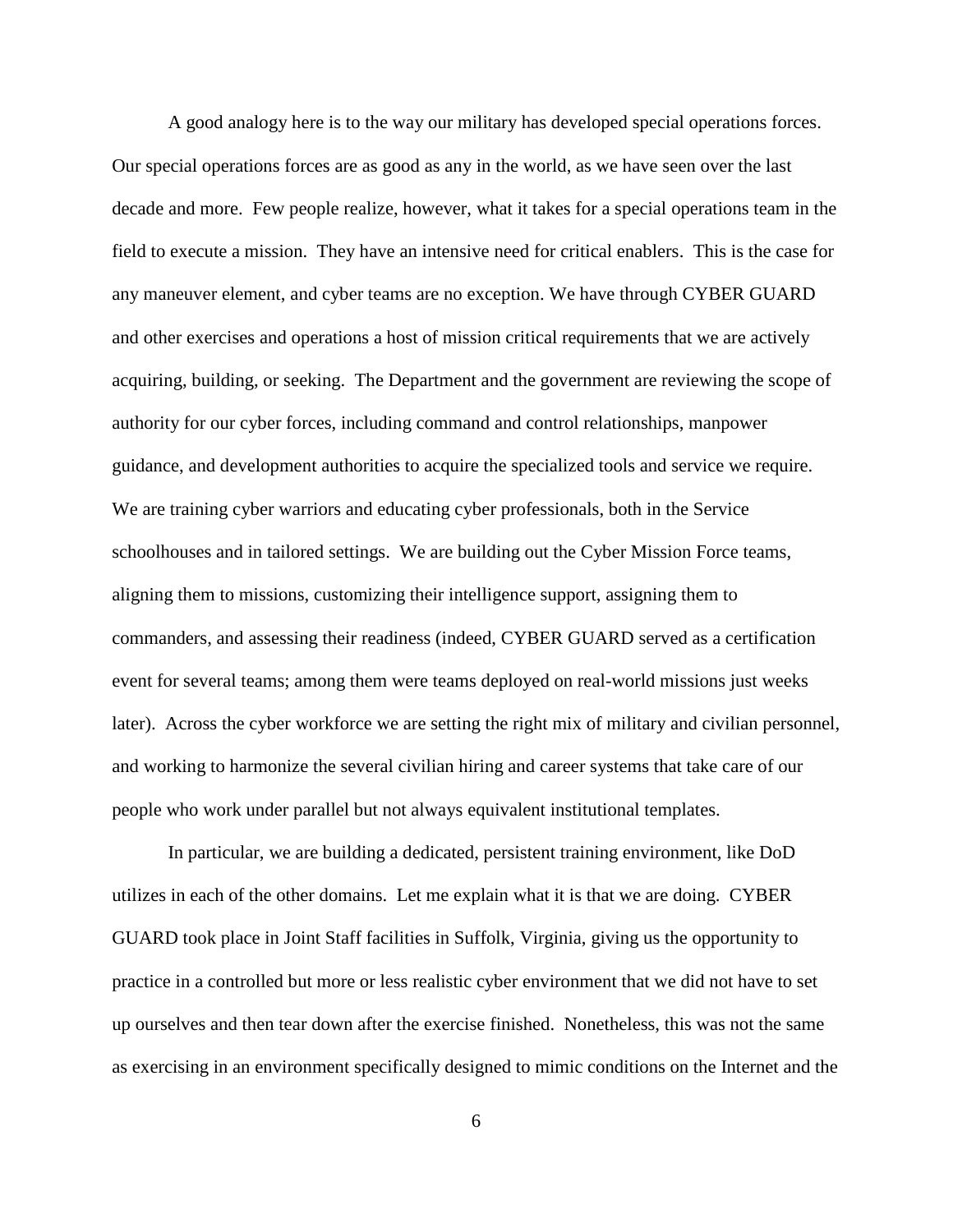A good analogy here is to the way our military has developed special operations forces. Our special operations forces are as good as any in the world, as we have seen over the last decade and more. Few people realize, however, what it takes for a special operations team in the field to execute a mission. They have an intensive need for critical enablers. This is the case for any maneuver element, and cyber teams are no exception. We have through CYBER GUARD and other exercises and operations a host of mission critical requirements that we are actively acquiring, building, or seeking. The Department and the government are reviewing the scope of authority for our cyber forces, including command and control relationships, manpower guidance, and development authorities to acquire the specialized tools and service we require. We are training cyber warriors and educating cyber professionals, both in the Service schoolhouses and in tailored settings. We are building out the Cyber Mission Force teams, aligning them to missions, customizing their intelligence support, assigning them to commanders, and assessing their readiness (indeed, CYBER GUARD served as a certification event for several teams; among them were teams deployed on real-world missions just weeks later). Across the cyber workforce we are setting the right mix of military and civilian personnel, and working to harmonize the several civilian hiring and career systems that take care of our people who work under parallel but not always equivalent institutional templates.

In particular, we are building a dedicated, persistent training environment, like DoD utilizes in each of the other domains. Let me explain what it is that we are doing. CYBER GUARD took place in Joint Staff facilities in Suffolk, Virginia, giving us the opportunity to practice in a controlled but more or less realistic cyber environment that we did not have to set up ourselves and then tear down after the exercise finished. Nonetheless, this was not the same as exercising in an environment specifically designed to mimic conditions on the Internet and the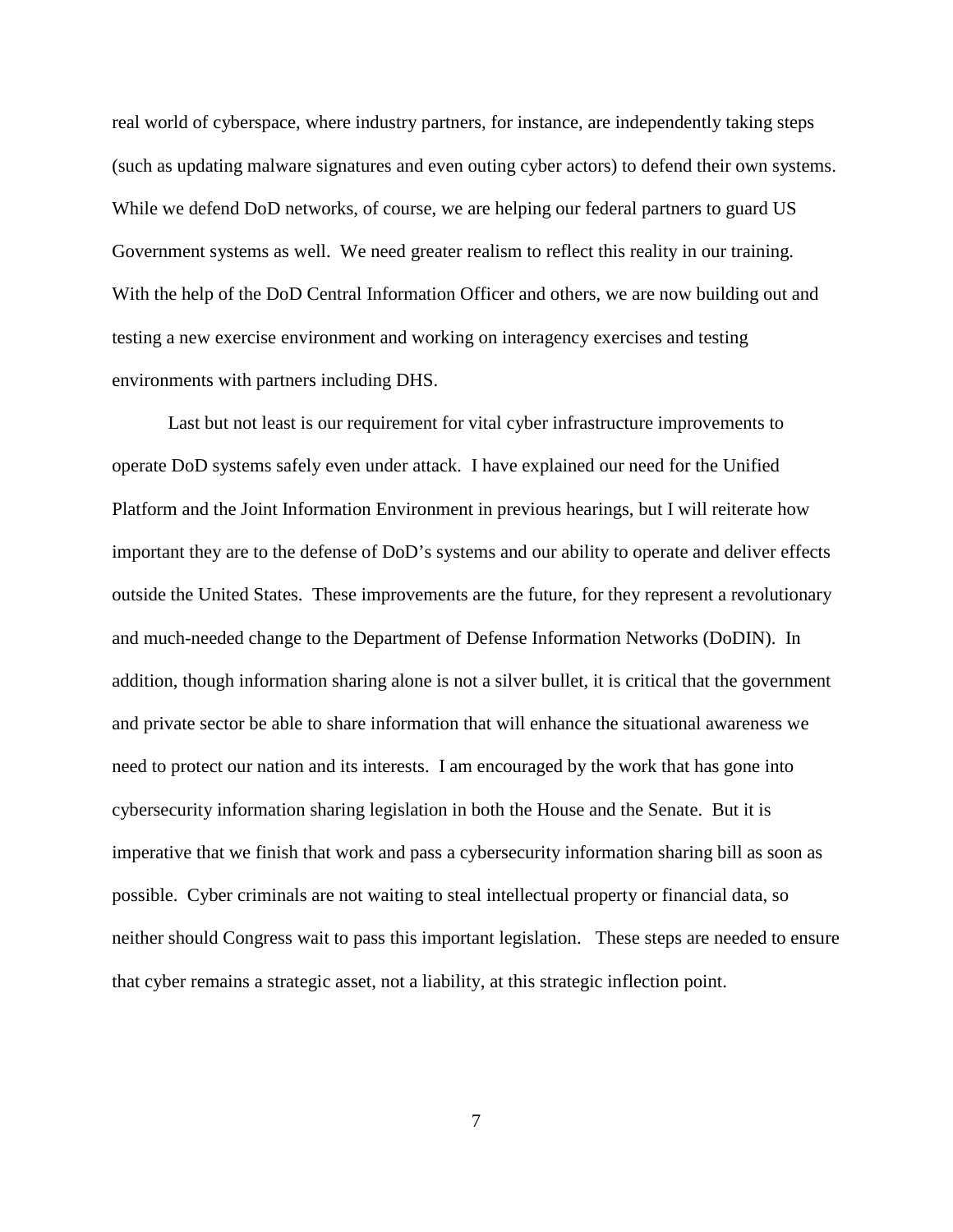real world of cyberspace, where industry partners, for instance, are independently taking steps (such as updating malware signatures and even outing cyber actors) to defend their own systems. While we defend DoD networks, of course, we are helping our federal partners to guard US Government systems as well. We need greater realism to reflect this reality in our training. With the help of the DoD Central Information Officer and others, we are now building out and testing a new exercise environment and working on interagency exercises and testing environments with partners including DHS.

Last but not least is our requirement for vital cyber infrastructure improvements to operate DoD systems safely even under attack. I have explained our need for the Unified Platform and the Joint Information Environment in previous hearings, but I will reiterate how important they are to the defense of DoD's systems and our ability to operate and deliver effects outside the United States. These improvements are the future, for they represent a revolutionary and much-needed change to the Department of Defense Information Networks (DoDIN). In addition, though information sharing alone is not a silver bullet, it is critical that the government and private sector be able to share information that will enhance the situational awareness we need to protect our nation and its interests. I am encouraged by the work that has gone into cybersecurity information sharing legislation in both the House and the Senate. But it is imperative that we finish that work and pass a cybersecurity information sharing bill as soon as possible. Cyber criminals are not waiting to steal intellectual property or financial data, so neither should Congress wait to pass this important legislation. These steps are needed to ensure that cyber remains a strategic asset, not a liability, at this strategic inflection point.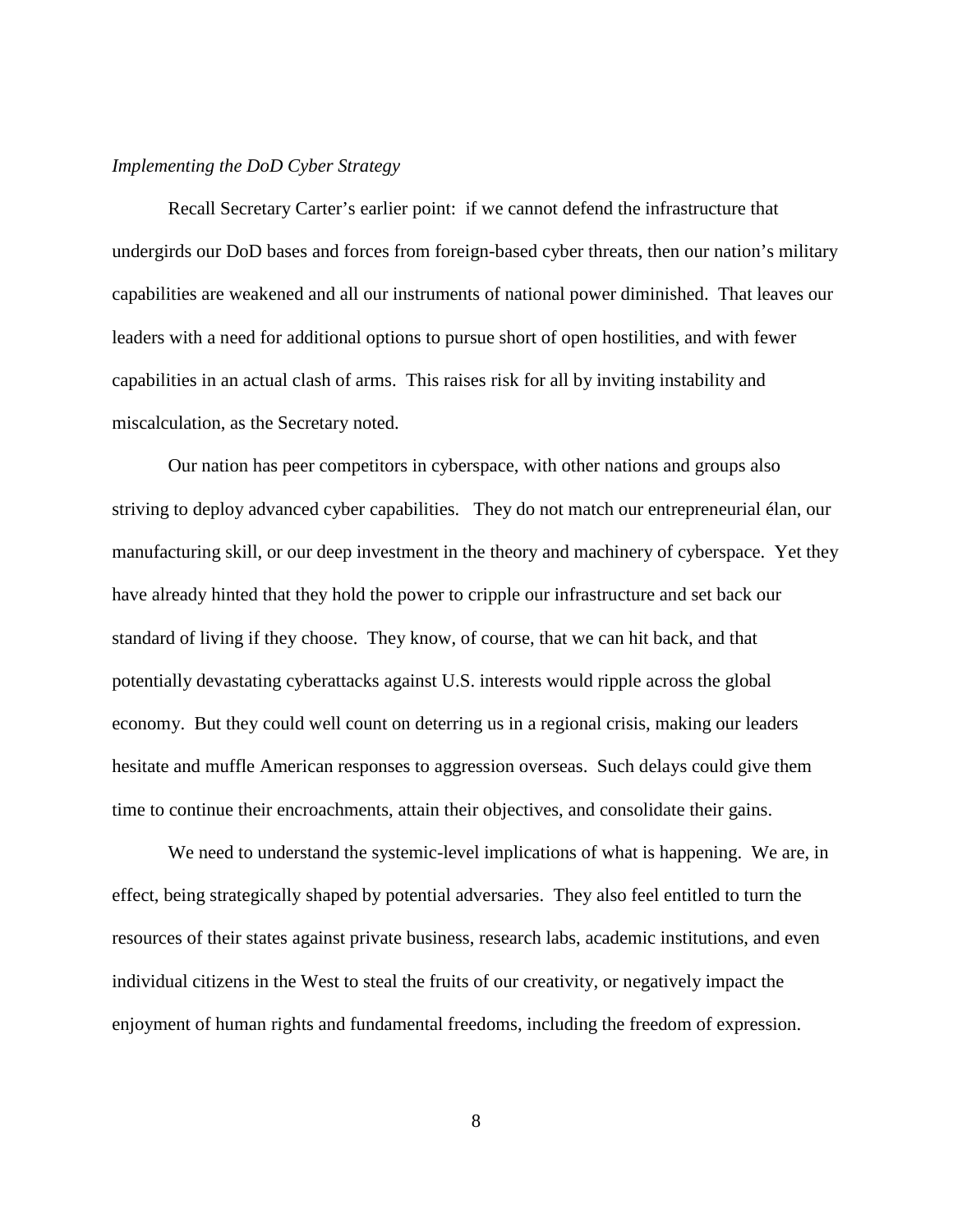## *Implementing the DoD Cyber Strategy*

Recall Secretary Carter's earlier point: if we cannot defend the infrastructure that undergirds our DoD bases and forces from foreign-based cyber threats, then our nation's military capabilities are weakened and all our instruments of national power diminished. That leaves our leaders with a need for additional options to pursue short of open hostilities, and with fewer capabilities in an actual clash of arms. This raises risk for all by inviting instability and miscalculation, as the Secretary noted.

Our nation has peer competitors in cyberspace, with other nations and groups also striving to deploy advanced cyber capabilities. They do not match our entrepreneurial élan, our manufacturing skill, or our deep investment in the theory and machinery of cyberspace. Yet they have already hinted that they hold the power to cripple our infrastructure and set back our standard of living if they choose. They know, of course, that we can hit back, and that potentially devastating cyberattacks against U.S. interests would ripple across the global economy. But they could well count on deterring us in a regional crisis, making our leaders hesitate and muffle American responses to aggression overseas. Such delays could give them time to continue their encroachments, attain their objectives, and consolidate their gains.

We need to understand the systemic-level implications of what is happening. We are, in effect, being strategically shaped by potential adversaries. They also feel entitled to turn the resources of their states against private business, research labs, academic institutions, and even individual citizens in the West to steal the fruits of our creativity, or negatively impact the enjoyment of human rights and fundamental freedoms, including the freedom of expression.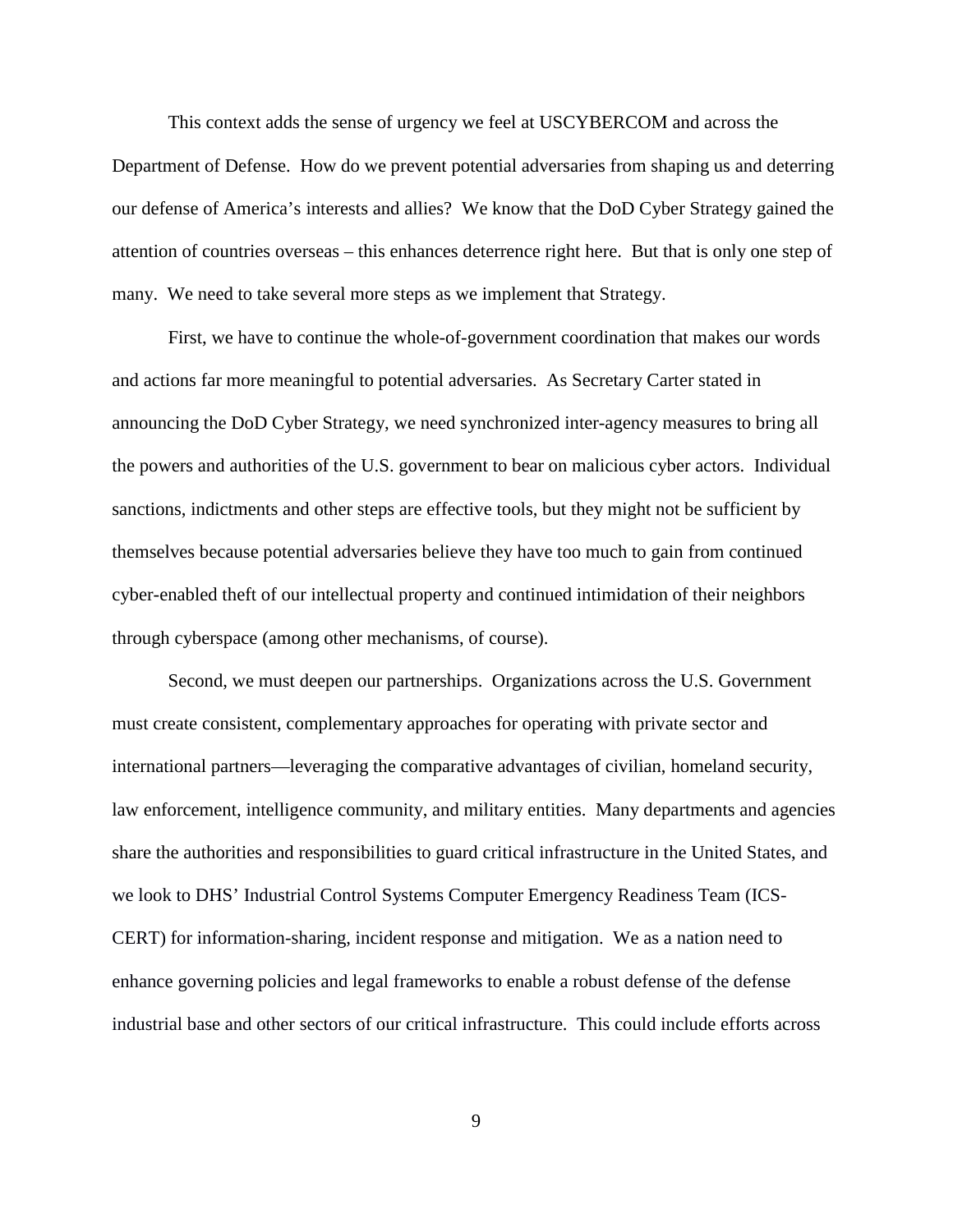This context adds the sense of urgency we feel at USCYBERCOM and across the Department of Defense. How do we prevent potential adversaries from shaping us and deterring our defense of America's interests and allies? We know that the DoD Cyber Strategy gained the attention of countries overseas – this enhances deterrence right here. But that is only one step of many. We need to take several more steps as we implement that Strategy.

First, we have to continue the whole-of-government coordination that makes our words and actions far more meaningful to potential adversaries. As Secretary Carter stated in announcing the DoD Cyber Strategy, we need synchronized inter-agency measures to bring all the powers and authorities of the U.S. government to bear on malicious cyber actors. Individual sanctions, indictments and other steps are effective tools, but they might not be sufficient by themselves because potential adversaries believe they have too much to gain from continued cyber-enabled theft of our intellectual property and continued intimidation of their neighbors through cyberspace (among other mechanisms, of course).

Second, we must deepen our partnerships. Organizations across the U.S. Government must create consistent, complementary approaches for operating with private sector and international partners—leveraging the comparative advantages of civilian, homeland security, law enforcement, intelligence community, and military entities. Many departments and agencies share the authorities and responsibilities to guard critical infrastructure in the United States, and we look to DHS' Industrial Control Systems Computer Emergency Readiness Team (ICS-CERT) for information-sharing, incident response and mitigation. We as a nation need to enhance governing policies and legal frameworks to enable a robust defense of the defense industrial base and other sectors of our critical infrastructure. This could include efforts across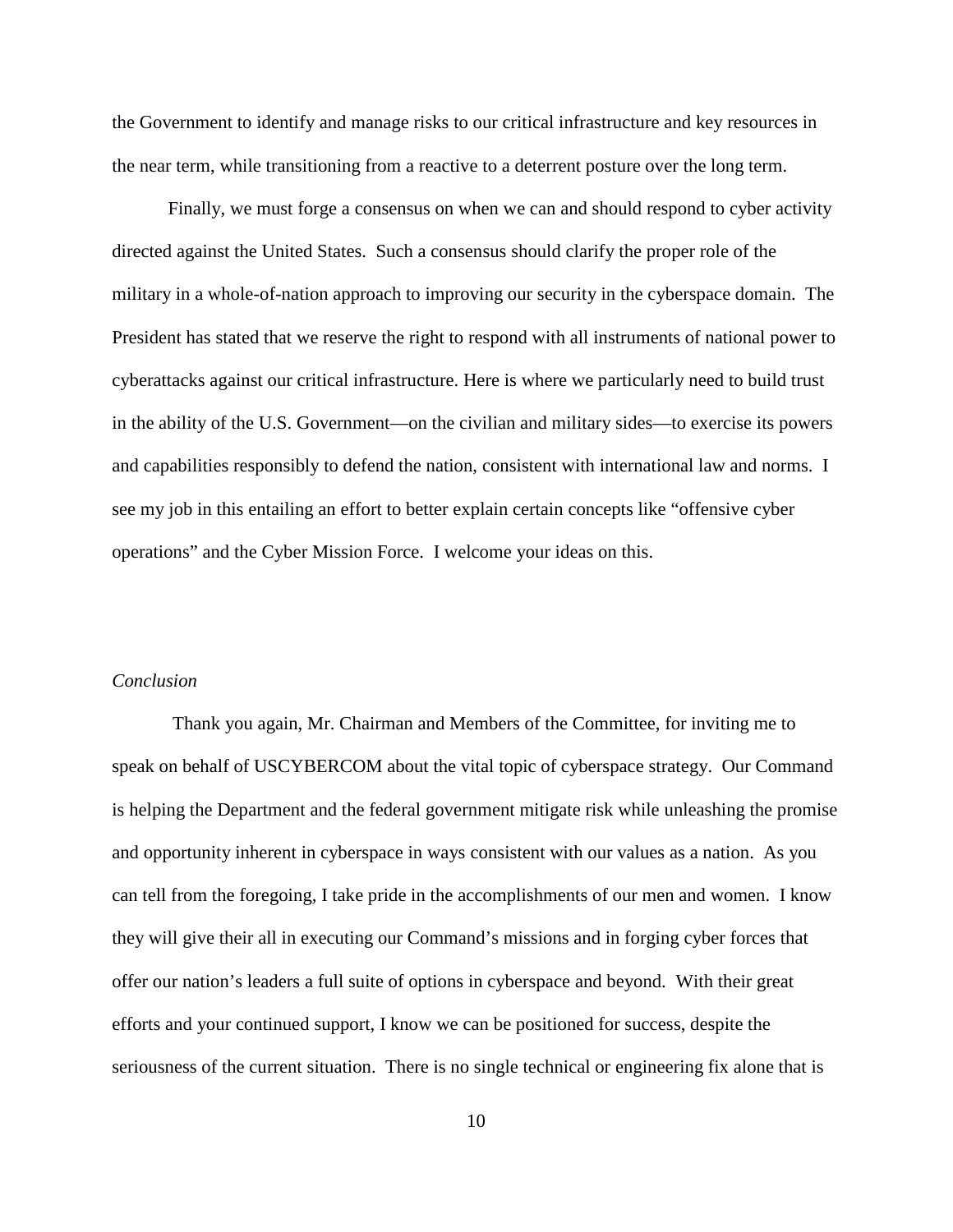the Government to identify and manage risks to our critical infrastructure and key resources in the near term, while transitioning from a reactive to a deterrent posture over the long term.

Finally, we must forge a consensus on when we can and should respond to cyber activity directed against the United States. Such a consensus should clarify the proper role of the military in a whole-of-nation approach to improving our security in the cyberspace domain. The President has stated that we reserve the right to respond with all instruments of national power to cyberattacks against our critical infrastructure. Here is where we particularly need to build trust in the ability of the U.S. Government—on the civilian and military sides—to exercise its powers and capabilities responsibly to defend the nation, consistent with international law and norms. I see my job in this entailing an effort to better explain certain concepts like "offensive cyber operations" and the Cyber Mission Force. I welcome your ideas on this.

## *Conclusion*

Thank you again, Mr. Chairman and Members of the Committee, for inviting me to speak on behalf of USCYBERCOM about the vital topic of cyberspace strategy. Our Command is helping the Department and the federal government mitigate risk while unleashing the promise and opportunity inherent in cyberspace in ways consistent with our values as a nation. As you can tell from the foregoing, I take pride in the accomplishments of our men and women. I know they will give their all in executing our Command's missions and in forging cyber forces that offer our nation's leaders a full suite of options in cyberspace and beyond. With their great efforts and your continued support, I know we can be positioned for success, despite the seriousness of the current situation. There is no single technical or engineering fix alone that is